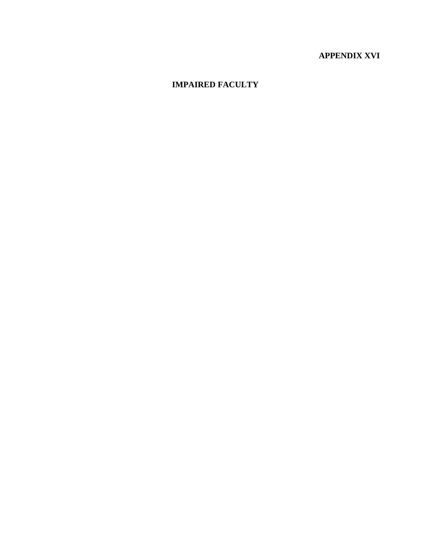# **APPENDIX XVI**

# **IMPAIRED FACULTY**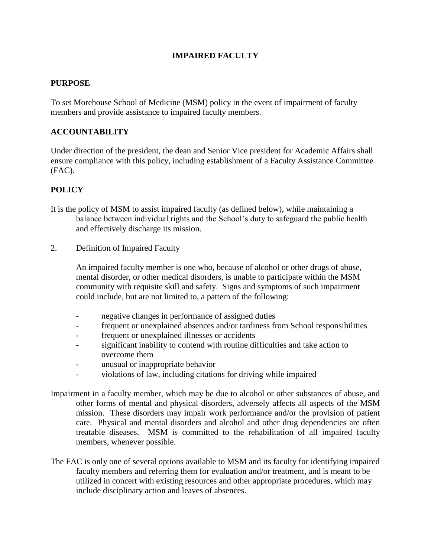# **IMPAIRED FACULTY**

## **PURPOSE**

To set Morehouse School of Medicine (MSM) policy in the event of impairment of faculty members and provide assistance to impaired faculty members.

## **ACCOUNTABILITY**

Under direction of the president, the dean and Senior Vice president for Academic Affairs shall ensure compliance with this policy, including establishment of a Faculty Assistance Committee (FAC).

# **POLICY**

- It is the policy of MSM to assist impaired faculty (as defined below), while maintaining a balance between individual rights and the School's duty to safeguard the public health and effectively discharge its mission.
- 2. Definition of Impaired Faculty

An impaired faculty member is one who, because of alcohol or other drugs of abuse, mental disorder, or other medical disorders, is unable to participate within the MSM community with requisite skill and safety. Signs and symptoms of such impairment could include, but are not limited to, a pattern of the following:

- negative changes in performance of assigned duties
- frequent or unexplained absences and/or tardiness from School responsibilities
- frequent or unexplained illnesses or accidents
- significant inability to contend with routine difficulties and take action to overcome them
- unusual or inappropriate behavior
- violations of law, including citations for driving while impaired
- Impairment in a faculty member, which may be due to alcohol or other substances of abuse, and other forms of mental and physical disorders, adversely affects all aspects of the MSM mission. These disorders may impair work performance and/or the provision of patient care. Physical and mental disorders and alcohol and other drug dependencies are often treatable diseases. MSM is committed to the rehabilitation of all impaired faculty members, whenever possible.
- The FAC is only one of several options available to MSM and its faculty for identifying impaired faculty members and referring them for evaluation and/or treatment, and is meant to be utilized in concert with existing resources and other appropriate procedures, which may include disciplinary action and leaves of absences.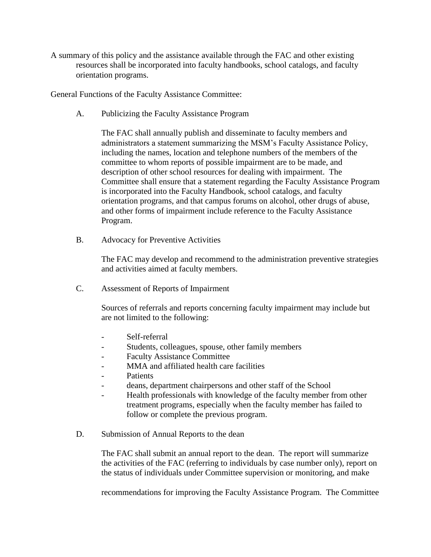A summary of this policy and the assistance available through the FAC and other existing resources shall be incorporated into faculty handbooks, school catalogs, and faculty orientation programs.

General Functions of the Faculty Assistance Committee:

A. Publicizing the Faculty Assistance Program

The FAC shall annually publish and disseminate to faculty members and administrators a statement summarizing the MSM's Faculty Assistance Policy, including the names, location and telephone numbers of the members of the committee to whom reports of possible impairment are to be made, and description of other school resources for dealing with impairment. The Committee shall ensure that a statement regarding the Faculty Assistance Program is incorporated into the Faculty Handbook, school catalogs, and faculty orientation programs, and that campus forums on alcohol, other drugs of abuse, and other forms of impairment include reference to the Faculty Assistance Program.

B. Advocacy for Preventive Activities

The FAC may develop and recommend to the administration preventive strategies and activities aimed at faculty members.

C. Assessment of Reports of Impairment

Sources of referrals and reports concerning faculty impairment may include but are not limited to the following:

- Self-referral
- Students, colleagues, spouse, other family members
- Faculty Assistance Committee
- MMA and affiliated health care facilities
- **Patients**
- deans, department chairpersons and other staff of the School
- Health professionals with knowledge of the faculty member from other treatment programs, especially when the faculty member has failed to follow or complete the previous program.
- D. Submission of Annual Reports to the dean

The FAC shall submit an annual report to the dean. The report will summarize the activities of the FAC (referring to individuals by case number only), report on the status of individuals under Committee supervision or monitoring, and make

recommendations for improving the Faculty Assistance Program. The Committee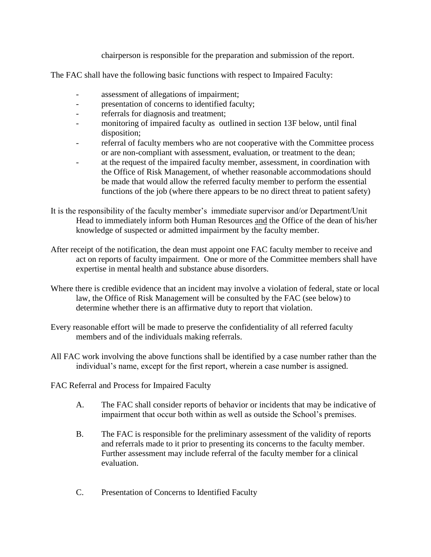chairperson is responsible for the preparation and submission of the report.

The FAC shall have the following basic functions with respect to Impaired Faculty:

- assessment of allegations of impairment;
- presentation of concerns to identified faculty;
- referrals for diagnosis and treatment;
- monitoring of impaired faculty as outlined in section 13F below, until final disposition;
- referral of faculty members who are not cooperative with the Committee process or are non-compliant with assessment, evaluation, or treatment to the dean;
- at the request of the impaired faculty member, assessment, in coordination with the Office of Risk Management, of whether reasonable accommodations should be made that would allow the referred faculty member to perform the essential functions of the job (where there appears to be no direct threat to patient safety)
- It is the responsibility of the faculty member's immediate supervisor and/or Department/Unit Head to immediately inform both Human Resources and the Office of the dean of his/her knowledge of suspected or admitted impairment by the faculty member.
- After receipt of the notification, the dean must appoint one FAC faculty member to receive and act on reports of faculty impairment. One or more of the Committee members shall have expertise in mental health and substance abuse disorders.
- Where there is credible evidence that an incident may involve a violation of federal, state or local law, the Office of Risk Management will be consulted by the FAC (see below) to determine whether there is an affirmative duty to report that violation.
- Every reasonable effort will be made to preserve the confidentiality of all referred faculty members and of the individuals making referrals.
- All FAC work involving the above functions shall be identified by a case number rather than the individual's name, except for the first report, wherein a case number is assigned.

FAC Referral and Process for Impaired Faculty

- A. The FAC shall consider reports of behavior or incidents that may be indicative of impairment that occur both within as well as outside the School's premises.
- B. The FAC is responsible for the preliminary assessment of the validity of reports and referrals made to it prior to presenting its concerns to the faculty member. Further assessment may include referral of the faculty member for a clinical evaluation.
- C. Presentation of Concerns to Identified Faculty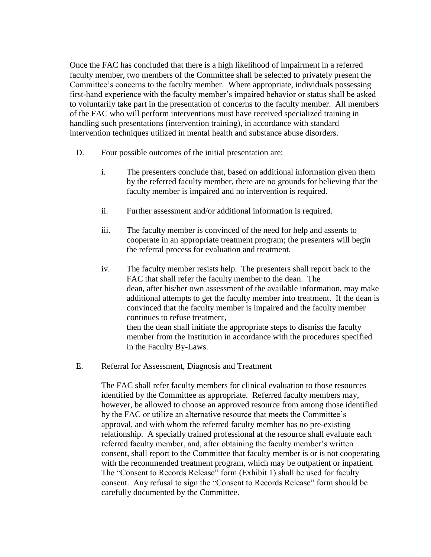Once the FAC has concluded that there is a high likelihood of impairment in a referred faculty member, two members of the Committee shall be selected to privately present the Committee's concerns to the faculty member. Where appropriate, individuals possessing first-hand experience with the faculty member's impaired behavior or status shall be asked to voluntarily take part in the presentation of concerns to the faculty member. All members of the FAC who will perform interventions must have received specialized training in handling such presentations (intervention training), in accordance with standard intervention techniques utilized in mental health and substance abuse disorders.

- D. Four possible outcomes of the initial presentation are:
	- i. The presenters conclude that, based on additional information given them by the referred faculty member, there are no grounds for believing that the faculty member is impaired and no intervention is required.
	- ii. Further assessment and/or additional information is required.
	- iii. The faculty member is convinced of the need for help and assents to cooperate in an appropriate treatment program; the presenters will begin the referral process for evaluation and treatment.
	- iv. The faculty member resists help. The presenters shall report back to the FAC that shall refer the faculty member to the dean. The dean, after his/her own assessment of the available information, may make additional attempts to get the faculty member into treatment. If the dean is convinced that the faculty member is impaired and the faculty member continues to refuse treatment, then the dean shall initiate the appropriate steps to dismiss the faculty member from the Institution in accordance with the procedures specified in the Faculty By-Laws.
- E. Referral for Assessment, Diagnosis and Treatment

The FAC shall refer faculty members for clinical evaluation to those resources identified by the Committee as appropriate. Referred faculty members may, however, be allowed to choose an approved resource from among those identified by the FAC or utilize an alternative resource that meets the Committee's approval, and with whom the referred faculty member has no pre-existing relationship. A specially trained professional at the resource shall evaluate each referred faculty member, and, after obtaining the faculty member's written consent, shall report to the Committee that faculty member is or is not cooperating with the recommended treatment program, which may be outpatient or inpatient. The "Consent to Records Release" form (Exhibit 1) shall be used for faculty consent. Any refusal to sign the "Consent to Records Release" form should be carefully documented by the Committee.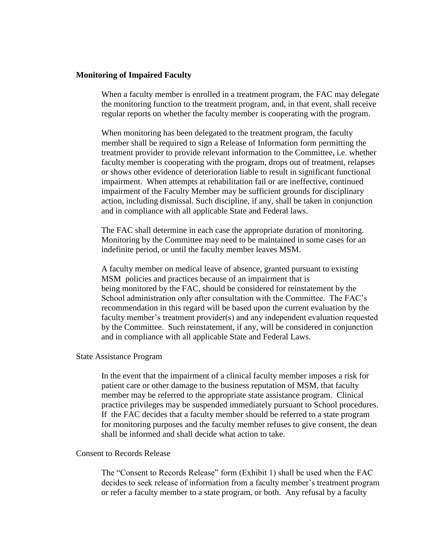### **Monitoring of Impaired Faculty**

When a faculty member is enrolled in a treatment program, the FAC may delegate the monitoring function to the treatment program, and, in that event, shall receive regular reports on whether the faculty member is cooperating with the program.

When monitoring has been delegated to the treatment program, the faculty member shall be required to sign a Release of Information form permitting the treatment provider to provide relevant information to the Committee, i.e. whether faculty member is cooperating with the program, drops out of treatment, relapses or shows other evidence of deterioration liable to result in significant functional impairment. When attempts at rehabilitation fail or are ineffective, continued impairment of the Faculty Member may be sufficient grounds for disciplinary action, including dismissal. Such discipline, if any, shall be taken in conjunction and in compliance with all applicable State and Federal laws.

The FAC shall determine in each case the appropriate duration of monitoring. Monitoring by the Committee may need to be maintained in some cases for an indefinite period, or until the faculty member leaves MSM.

A faculty member on medical leave of absence, granted pursuant to existing MSM policies and practices because of an impairment that is being monitored by the FAC, should be considered for reinstatement by the School administration only after consultation with the Committee. The FAC's recommendation in this regard will be based upon the current evaluation by the faculty member's treatment provider(s) and any independent evaluation requested by the Committee. Such reinstatement, if any, will be considered in conjunction and in compliance with all applicable State and Federal Laws.

#### State Assistance Program

In the event that the impairment of a clinical faculty member imposes a risk for patient care or other damage to the business reputation of MSM, that faculty member may be referred to the appropriate state assistance program. Clinical practice privileges may be suspended immediately pursuant to School procedures. If the FAC decides that a faculty member should be referred to a state program for monitoring purposes and the faculty member refuses to give consent, the dean shall be informed and shall decide what action to take.

#### Consent to Records Release

The "Consent to Records Release" form (Exhibit 1) shall be used when the FAC decides to seek release of information from a faculty member's treatment program or refer a faculty member to a state program, or both. Any refusal by a faculty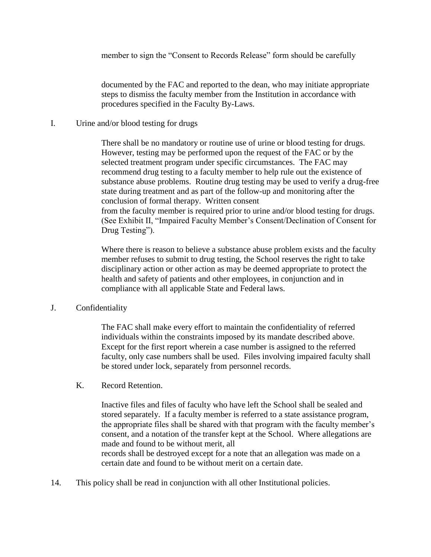member to sign the "Consent to Records Release" form should be carefully

documented by the FAC and reported to the dean, who may initiate appropriate steps to dismiss the faculty member from the Institution in accordance with procedures specified in the Faculty By-Laws.

I. Urine and/or blood testing for drugs

There shall be no mandatory or routine use of urine or blood testing for drugs. However, testing may be performed upon the request of the FAC or by the selected treatment program under specific circumstances. The FAC may recommend drug testing to a faculty member to help rule out the existence of substance abuse problems. Routine drug testing may be used to verify a drug-free state during treatment and as part of the follow-up and monitoring after the conclusion of formal therapy. Written consent from the faculty member is required prior to urine and/or blood testing for drugs. (See Exhibit II, "Impaired Faculty Member's Consent/Declination of Consent for Drug Testing").

Where there is reason to believe a substance abuse problem exists and the faculty member refuses to submit to drug testing, the School reserves the right to take disciplinary action or other action as may be deemed appropriate to protect the health and safety of patients and other employees, in conjunction and in compliance with all applicable State and Federal laws.

J. Confidentiality

The FAC shall make every effort to maintain the confidentiality of referred individuals within the constraints imposed by its mandate described above. Except for the first report wherein a case number is assigned to the referred faculty, only case numbers shall be used. Files involving impaired faculty shall be stored under lock, separately from personnel records.

K. Record Retention.

Inactive files and files of faculty who have left the School shall be sealed and stored separately. If a faculty member is referred to a state assistance program, the appropriate files shall be shared with that program with the faculty member's consent, and a notation of the transfer kept at the School. Where allegations are made and found to be without merit, all records shall be destroyed except for a note that an allegation was made on a certain date and found to be without merit on a certain date.

14. This policy shall be read in conjunction with all other Institutional policies.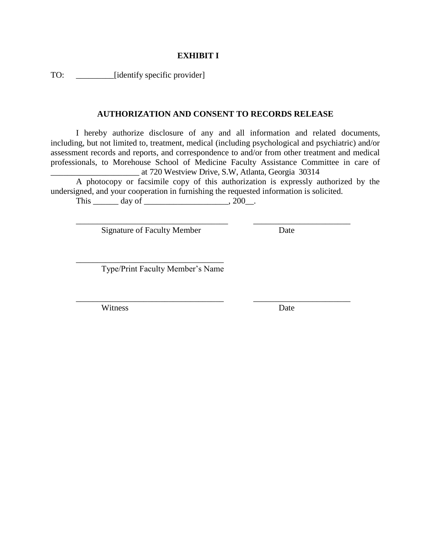### **EXHIBIT I**

TO:  $\qquad \qquad \qquad$  [identify specific provider]

## **AUTHORIZATION AND CONSENT TO RECORDS RELEASE**

I hereby authorize disclosure of any and all information and related documents, including, but not limited to, treatment, medical (including psychological and psychiatric) and/or assessment records and reports, and correspondence to and/or from other treatment and medical professionals, to Morehouse School of Medicine Faculty Assistance Committee in care of \_\_\_\_\_\_\_\_\_\_\_\_\_\_\_\_\_\_\_\_\_ at 720 Westview Drive, S.W, Atlanta, Georgia 30314

A photocopy or facsimile copy of this authorization is expressly authorized by the undersigned, and your cooperation in furnishing the requested information is solicited.

\_\_\_\_\_\_\_\_\_\_\_\_\_\_\_\_\_\_\_\_\_\_\_\_\_\_\_\_\_\_\_\_\_\_\_\_ \_\_\_\_\_\_\_\_\_\_\_\_\_\_\_\_\_\_\_\_\_\_\_

\_\_\_\_\_\_\_\_\_\_\_\_\_\_\_\_\_\_\_\_\_\_\_\_\_\_\_\_\_\_\_\_\_\_\_ \_\_\_\_\_\_\_\_\_\_\_\_\_\_\_\_\_\_\_\_\_\_\_

This  $\_\_\_\_\_\_\_\_\_\_\_\_\_\_\_\_\.\_200\_\_\_\.\_$ 

Signature of Faculty Member Date

\_\_\_\_\_\_\_\_\_\_\_\_\_\_\_\_\_\_\_\_\_\_\_\_\_\_\_\_\_\_\_\_\_\_\_

Type/Print Faculty Member's Name

Witness Date